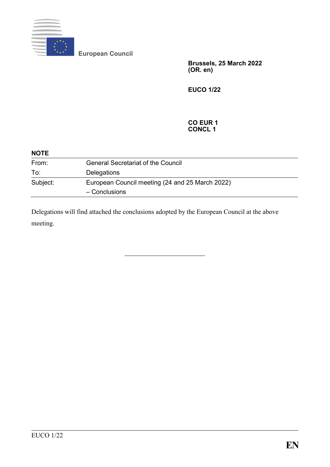

**European Council**

**Brussels, 25 March 2022 (OR. en)**

**EUCO 1/22**

#### **CO EUR 1 CONCL 1**

| <b>NOTE</b> |                                                                  |  |
|-------------|------------------------------------------------------------------|--|
| From:       | <b>General Secretariat of the Council</b>                        |  |
| To:         | Delegations                                                      |  |
| Subject:    | European Council meeting (24 and 25 March 2022)<br>- Conclusions |  |

Delegations will find attached the conclusions adopted by the European Council at the above meeting.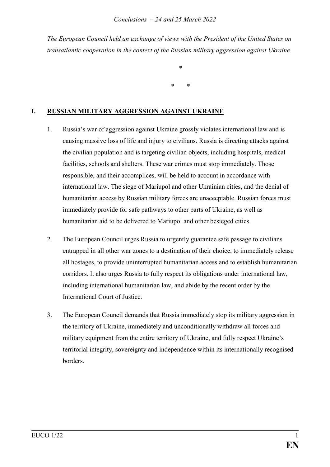*The European Council held an exchange of views with the President of the United States on transatlantic cooperation in the context of the Russian military aggression against Ukraine.*

\*

\* \*

## **I. RUSSIAN MILITARY AGGRESSION AGAINST UKRAINE**

- 1. Russia's war of aggression against Ukraine grossly violates international law and is causing massive loss of life and injury to civilians. Russia is directing attacks against the civilian population and is targeting civilian objects, including hospitals, medical facilities, schools and shelters. These war crimes must stop immediately. Those responsible, and their accomplices, will be held to account in accordance with international law. The siege of Mariupol and other Ukrainian cities, and the denial of humanitarian access by Russian military forces are unacceptable. Russian forces must immediately provide for safe pathways to other parts of Ukraine, as well as humanitarian aid to be delivered to Mariupol and other besieged cities.
- 2. The European Council urges Russia to urgently guarantee safe passage to civilians entrapped in all other war zones to a destination of their choice, to immediately release all hostages, to provide uninterrupted humanitarian access and to establish humanitarian corridors. It also urges Russia to fully respect its obligations under international law, including international humanitarian law, and abide by the recent order by the International Court of Justice.
- 3. The European Council demands that Russia immediately stop its military aggression in the territory of Ukraine, immediately and unconditionally withdraw all forces and military equipment from the entire territory of Ukraine, and fully respect Ukraine's territorial integrity, sovereignty and independence within its internationally recognised borders.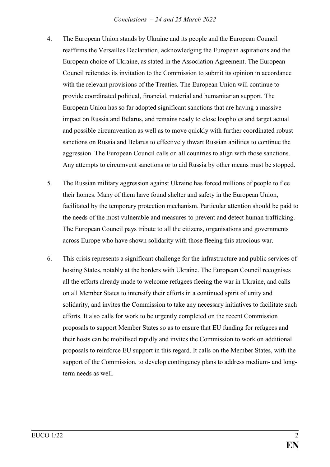#### *Conclusions – 24 and 25 March 2022*

- 4. The European Union stands by Ukraine and its people and the European Council reaffirms the Versailles Declaration, acknowledging the European aspirations and the European choice of Ukraine, as stated in the Association Agreement. The European Council reiterates its invitation to the Commission to submit its opinion in accordance with the relevant provisions of the Treaties. The European Union will continue to provide coordinated political, financial, material and humanitarian support. The European Union has so far adopted significant sanctions that are having a massive impact on Russia and Belarus, and remains ready to close loopholes and target actual and possible circumvention as well as to move quickly with further coordinated robust sanctions on Russia and Belarus to effectively thwart Russian abilities to continue the aggression. The European Council calls on all countries to align with those sanctions. Any attempts to circumvent sanctions or to aid Russia by other means must be stopped.
- 5. The Russian military aggression against Ukraine has forced millions of people to flee their homes. Many of them have found shelter and safety in the European Union, facilitated by the temporary protection mechanism. Particular attention should be paid to the needs of the most vulnerable and measures to prevent and detect human trafficking. The European Council pays tribute to all the citizens, organisations and governments across Europe who have shown solidarity with those fleeing this atrocious war.
- 6. This crisis represents a significant challenge for the infrastructure and public services of hosting States, notably at the borders with Ukraine. The European Council recognises all the efforts already made to welcome refugees fleeing the war in Ukraine, and calls on all Member States to intensify their efforts in a continued spirit of unity and solidarity, and invites the Commission to take any necessary initiatives to facilitate such efforts. It also calls for work to be urgently completed on the recent Commission proposals to support Member States so as to ensure that EU funding for refugees and their hosts can be mobilised rapidly and invites the Commission to work on additional proposals to reinforce EU support in this regard. It calls on the Member States, with the support of the Commission, to develop contingency plans to address medium- and longterm needs as well.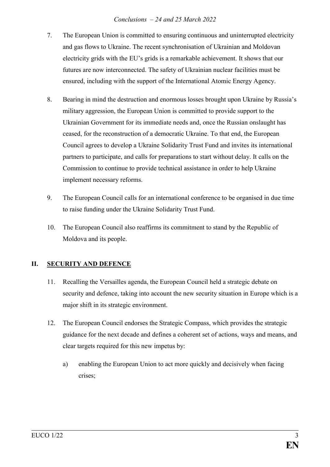#### *Conclusions – 24 and 25 March 2022*

- 7. The European Union is committed to ensuring continuous and uninterrupted electricity and gas flows to Ukraine. The recent synchronisation of Ukrainian and Moldovan electricity grids with the EU's grids is a remarkable achievement. It shows that our futures are now interconnected. The safety of Ukrainian nuclear facilities must be ensured, including with the support of the International Atomic Energy Agency.
- 8. Bearing in mind the destruction and enormous losses brought upon Ukraine by Russia's military aggression, the European Union is committed to provide support to the Ukrainian Government for its immediate needs and, once the Russian onslaught has ceased, for the reconstruction of a democratic Ukraine. To that end, the European Council agrees to develop a Ukraine Solidarity Trust Fund and invites its international partners to participate, and calls for preparations to start without delay. It calls on the Commission to continue to provide technical assistance in order to help Ukraine implement necessary reforms.
- 9. The European Council calls for an international conference to be organised in due time to raise funding under the Ukraine Solidarity Trust Fund.
- 10. The European Council also reaffirms its commitment to stand by the Republic of Moldova and its people.

# **II. SECURITY AND DEFENCE**

- 11. Recalling the Versailles agenda, the European Council held a strategic debate on security and defence, taking into account the new security situation in Europe which is a major shift in its strategic environment.
- 12. The European Council endorses the Strategic Compass, which provides the strategic guidance for the next decade and defines a coherent set of actions, ways and means, and clear targets required for this new impetus by:
	- a) enabling the European Union to act more quickly and decisively when facing crises;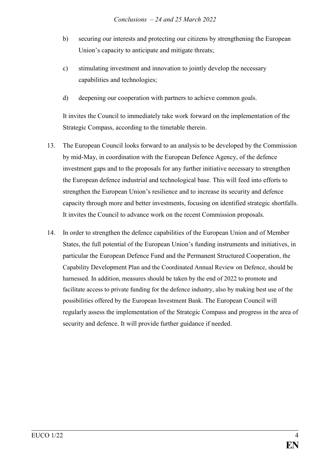- b) securing our interests and protecting our citizens by strengthening the European Union's capacity to anticipate and mitigate threats;
- c) stimulating investment and innovation to jointly develop the necessary capabilities and technologies;
- d) deepening our cooperation with partners to achieve common goals.

It invites the Council to immediately take work forward on the implementation of the Strategic Compass, according to the timetable therein.

- 13. The European Council looks forward to an analysis to be developed by the Commission by mid-May, in coordination with the European Defence Agency, of the defence investment gaps and to the proposals for any further initiative necessary to strengthen the European defence industrial and technological base. This will feed into efforts to strengthen the European Union's resilience and to increase its security and defence capacity through more and better investments, focusing on identified strategic shortfalls. It invites the Council to advance work on the recent Commission proposals.
- 14. In order to strengthen the defence capabilities of the European Union and of Member States, the full potential of the European Union's funding instruments and initiatives, in particular the European Defence Fund and the Permanent Structured Cooperation, the Capability Development Plan and the Coordinated Annual Review on Defence, should be harnessed. In addition, measures should be taken by the end of 2022 to promote and facilitate access to private funding for the defence industry, also by making best use of the possibilities offered by the European Investment Bank. The European Council will regularly assess the implementation of the Strategic Compass and progress in the area of security and defence. It will provide further guidance if needed.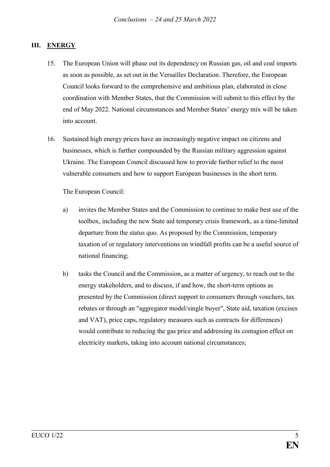#### **III. ENERGY**

- 15. The European Union will phase out its dependency on Russian gas, oil and coal imports as soon as possible, as set out in the Versailles Declaration. Therefore, the European Council looks forward to the comprehensive and ambitious plan, elaborated in close coordination with Member States, that the Commission will submit to this effect by the end of May 2022. National circumstances and Member States' energy mix will be taken into account.
- 16. Sustained high energy prices have an increasingly negative impact on citizens and businesses, which is further compounded by the Russian military aggression against Ukraine. The European Council discussed how to provide further relief to the most vulnerable consumers and how to support European businesses in the short term.

The European Council:

- a) invites the Member States and the Commission to continue to make best use of the toolbox, including the new State aid temporary crisis framework, as a time-limited departure from the status quo. As proposed by the Commission, temporary taxation of or regulatory interventions on windfall profits can be a useful source of national financing;
- b) tasks the Council and the Commission, as a matter of urgency, to reach out to the energy stakeholders, and to discuss, if and how, the short-term options as presented by the Commission (direct support to consumers through vouchers, tax rebates or through an "aggregator model/single buyer", State aid, taxation (excises and VAT), price caps, regulatory measures such as contracts for differences) would contribute to reducing the gas price and addressing its contagion effect on electricity markets, taking into account national circumstances;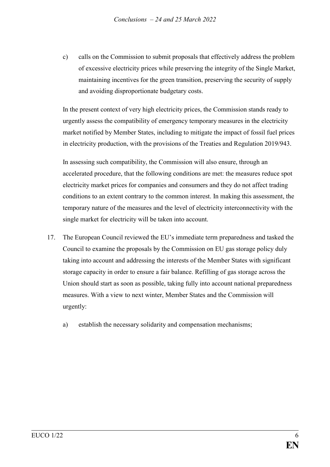c) calls on the Commission to submit proposals that effectively address the problem of excessive electricity prices while preserving the integrity of the Single Market, maintaining incentives for the green transition, preserving the security of supply and avoiding disproportionate budgetary costs.

In the present context of very high electricity prices, the Commission stands ready to urgently assess the compatibility of emergency temporary measures in the electricity market notified by Member States, including to mitigate the impact of fossil fuel prices in electricity production, with the provisions of the Treaties and Regulation 2019/943.

In assessing such compatibility, the Commission will also ensure, through an accelerated procedure, that the following conditions are met: the measures reduce spot electricity market prices for companies and consumers and they do not affect trading conditions to an extent contrary to the common interest. In making this assessment, the temporary nature of the measures and the level of electricity interconnectivity with the single market for electricity will be taken into account.

- 17. The European Council reviewed the EU's immediate term preparedness and tasked the Council to examine the proposals by the Commission on EU gas storage policy duly taking into account and addressing the interests of the Member States with significant storage capacity in order to ensure a fair balance. Refilling of gas storage across the Union should start as soon as possible, taking fully into account national preparedness measures. With a view to next winter, Member States and the Commission will urgently:
	- a) establish the necessary solidarity and compensation mechanisms;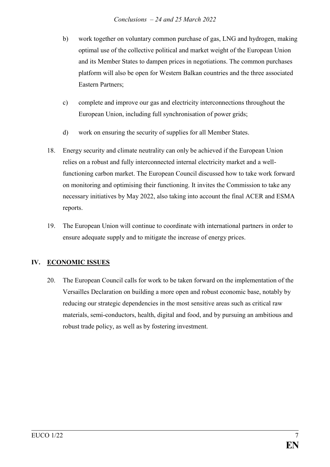- b) work together on voluntary common purchase of gas, LNG and hydrogen, making optimal use of the collective political and market weight of the European Union and its Member States to dampen prices in negotiations. The common purchases platform will also be open for Western Balkan countries and the three associated Eastern Partners;
- c) complete and improve our gas and electricity interconnections throughout the European Union, including full synchronisation of power grids;
- d) work on ensuring the security of supplies for all Member States.
- 18. Energy security and climate neutrality can only be achieved if the European Union relies on a robust and fully interconnected internal electricity market and a wellfunctioning carbon market. The European Council discussed how to take work forward on monitoring and optimising their functioning. It invites the Commission to take any necessary initiatives by May 2022, also taking into account the final ACER and ESMA reports.
- 19. The European Union will continue to coordinate with international partners in order to ensure adequate supply and to mitigate the increase of energy prices.

# **IV. ECONOMIC ISSUES**

20. The European Council calls for work to be taken forward on the implementation of the Versailles Declaration on building a more open and robust economic base, notably by reducing our strategic dependencies in the most sensitive areas such as critical raw materials, semi-conductors, health, digital and food, and by pursuing an ambitious and robust trade policy, as well as by fostering investment.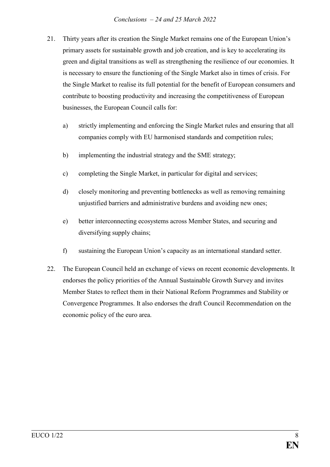- 21. Thirty years after its creation the Single Market remains one of the European Union's primary assets for sustainable growth and job creation, and is key to accelerating its green and digital transitions as well as strengthening the resilience of our economies. It is necessary to ensure the functioning of the Single Market also in times of crisis. For the Single Market to realise its full potential for the benefit of European consumers and contribute to boosting productivity and increasing the competitiveness of European businesses, the European Council calls for:
	- a) strictly implementing and enforcing the Single Market rules and ensuring that all companies comply with EU harmonised standards and competition rules;
	- b) implementing the industrial strategy and the SME strategy;
	- c) completing the Single Market, in particular for digital and services;
	- d) closely monitoring and preventing bottlenecks as well as removing remaining unjustified barriers and administrative burdens and avoiding new ones;
	- e) better interconnecting ecosystems across Member States, and securing and diversifying supply chains;
	- f) sustaining the European Union's capacity as an international standard setter.
- 22. The European Council held an exchange of views on recent economic developments. It endorses the policy priorities of the Annual Sustainable Growth Survey and invites Member States to reflect them in their National Reform Programmes and Stability or Convergence Programmes. It also endorses the draft Council Recommendation on the economic policy of the euro area.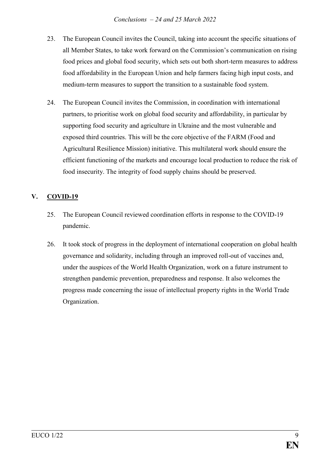- 23. The European Council invites the Council, taking into account the specific situations of all Member States, to take work forward on the Commission's communication on rising food prices and global food security, which sets out both short-term measures to address food affordability in the European Union and help farmers facing high input costs, and medium-term measures to support the transition to a sustainable food system.
- 24. The European Council invites the Commission, in coordination with international partners, to prioritise work on global food security and affordability, in particular by supporting food security and agriculture in Ukraine and the most vulnerable and exposed third countries. This will be the core objective of the FARM (Food and Agricultural Resilience Mission) initiative. This multilateral work should ensure the efficient functioning of the markets and encourage local production to reduce the risk of food insecurity. The integrity of food supply chains should be preserved.

# **V. COVID-19**

- 25. The European Council reviewed coordination efforts in response to the COVID-19 pandemic.
- 26. It took stock of progress in the deployment of international cooperation on global health governance and solidarity, including through an improved roll-out of vaccines and, under the auspices of the World Health Organization, work on a future instrument to strengthen pandemic prevention, preparedness and response. It also welcomes the progress made concerning the issue of intellectual property rights in the World Trade Organization.